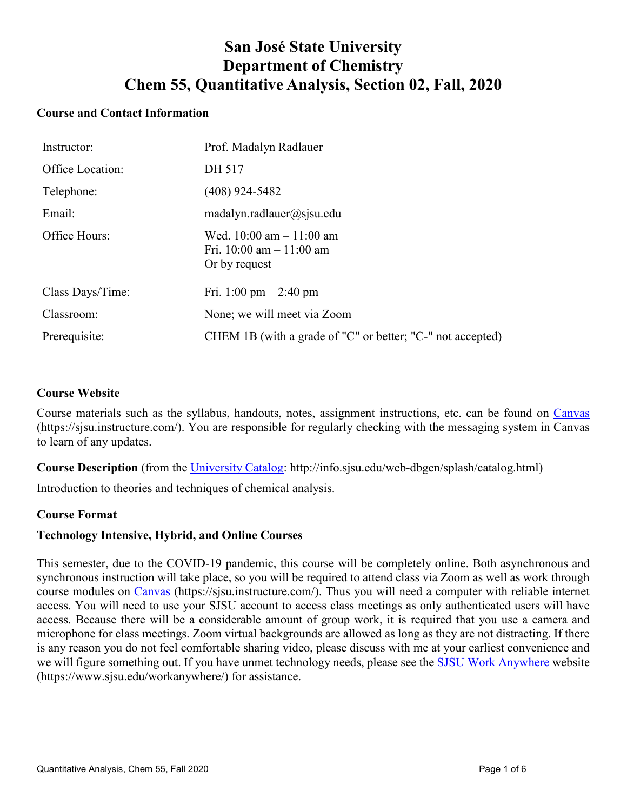# **San José State University Department of Chemistry Chem 55, Quantitative Analysis, Section 02, Fall, 2020**

# **Course and Contact Information**

| Instructor:      | Prof. Madalyn Radlauer                                                     |
|------------------|----------------------------------------------------------------------------|
| Office Location: | DH 517                                                                     |
| Telephone:       | (408) 924-5482                                                             |
| Email:           | matalyn.radlauer@sjsu.edu                                                  |
| Office Hours:    | Wed. $10:00$ am $-11:00$ am<br>Fri. 10:00 am $- 11:00$ am<br>Or by request |
| Class Days/Time: | Fri. 1:00 pm $-$ 2:40 pm                                                   |
| Classroom:       | None; we will meet via Zoom                                                |
| Prerequisite:    | CHEM 1B (with a grade of "C" or better; "C-" not accepted)                 |

### **Course Website**

Course materials such as the syllabus, handouts, notes, assignment instructions, etc. can be found on [Canvas](https://sjsu.instructure.com/) (https://sjsu.instructure.com/). You are responsible for regularly checking with the messaging system in Canvas to learn of any updates.

**Course Description** (from the University Catalog: http://info.sjsu.edu/web-dbgen/splash/catalog.html)

Introduction to theories and techniques of chemical analysis.

## **Course Format**

## **Technology Intensive, Hybrid, and Online Courses**

This semester, due to the COVID-19 pandemic, this course will be completely online. Both asynchronous and synchronous instruction will take place, so you will be required to attend class via Zoom as well as work through course modules on [Canvas](https://sjsu.instructure.com/) (https://sjsu.instructure.com/). Thus you will need a computer with reliable internet access. You will need to use your SJSU account to access class meetings as only authenticated users will have access. Because there will be a considerable amount of group work, it is required that you use a camera and microphone for class meetings. Zoom virtual backgrounds are allowed as long as they are not distracting. If there is any reason you do not feel comfortable sharing video, please discuss with me at your earliest convenience and we will figure something out. If you have unmet technology needs, please see the [SJSU Work Anywhere](https://www.sjsu.edu/workanywhere/) website (https://www.sjsu.edu/workanywhere/) for assistance.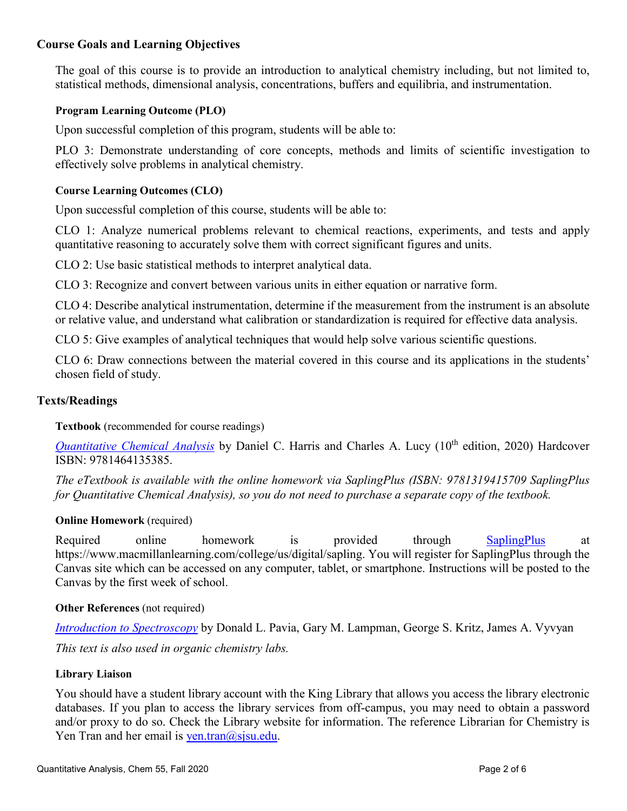# **Course Goals and Learning Objectives**

The goal of this course is to provide an introduction to analytical chemistry including, but not limited to, statistical methods, dimensional analysis, concentrations, buffers and equilibria, and instrumentation.

## **Program Learning Outcome (PLO)**

Upon successful completion of this program, students will be able to:

PLO 3: Demonstrate understanding of core concepts, methods and limits of scientific investigation to effectively solve problems in analytical chemistry.

### **Course Learning Outcomes (CLO)**

Upon successful completion of this course, students will be able to:

CLO 1: Analyze numerical problems relevant to chemical reactions, experiments, and tests and apply quantitative reasoning to accurately solve them with correct significant figures and units.

CLO 2: Use basic statistical methods to interpret analytical data.

CLO 3: Recognize and convert between various units in either equation or narrative form.

CLO 4: Describe analytical instrumentation, determine if the measurement from the instrument is an absolute or relative value, and understand what calibration or standardization is required for effective data analysis.

CLO 5: Give examples of analytical techniques that would help solve various scientific questions.

CLO 6: Draw connections between the material covered in this course and its applications in the students' chosen field of study.

#### **Texts/Readings**

**Textbook** (recommended for course readings)

*[Quantitative Chemical Analysis](https://www.macmillanlearning.com/college/us/product/Quantitative-Chemical-Analysis/p/146413538X)* by Daniel C. Harris and Charles A. Lucy (10<sup>th</sup> edition, 2020) Hardcover ISBN: 9781464135385.

*The eTextbook is available with the online homework via SaplingPlus (ISBN: 9781319415709 SaplingPlus for Quantitative Chemical Analysis), so you do not need to purchase a separate copy of the textbook.*

#### **Online Homework** (required)

Required online homework is provided through [SaplingPlus](https://www.macmillanlearning.com/college/us/digital/sapling) at https://www.macmillanlearning.com/college/us/digital/sapling. You will register for SaplingPlus through the Canvas site which can be accessed on any computer, tablet, or smartphone. Instructions will be posted to the Canvas by the first week of school.

#### **Other References** (not required)

*[Introduction to Spectroscopy](https://www.cengage.com/c/introduction-to-spectroscopy-5e-pavia/)* by Donald L. Pavia, Gary M. Lampman, George S. Kritz, James A. Vyvyan *This text is also used in organic chemistry labs.* 

#### **Library Liaison**

You should have a student library account with the King Library that allows you access the library electronic databases. If you plan to access the library services from off-campus, you may need to obtain a password and/or proxy to do so. Check the Library website for information. The reference Librarian for Chemistry is Yen Tran and her email is [yen.tran@sjsu.edu.](mailto:yen.tran@sjsu.edu)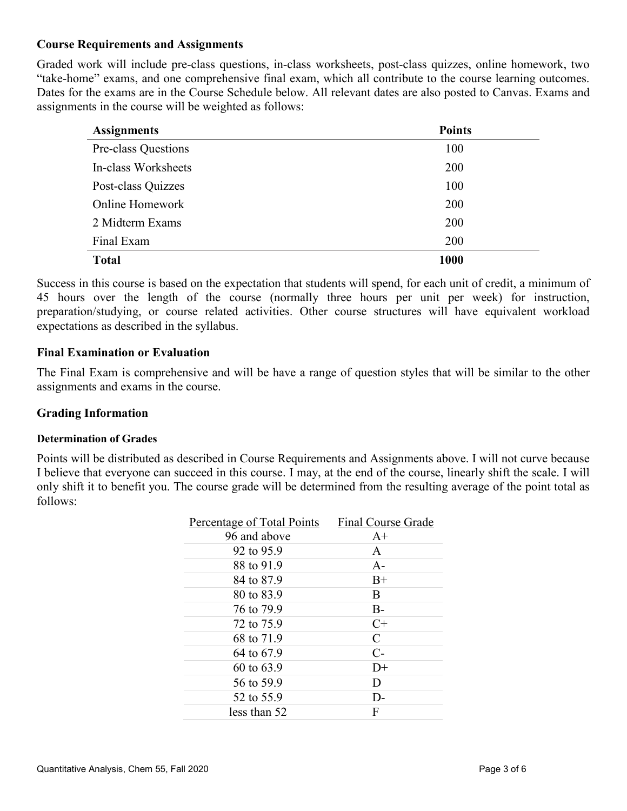# **Course Requirements and Assignments**

Graded work will include pre-class questions, in-class worksheets, post-class quizzes, online homework, two "take-home" exams, and one comprehensive final exam, which all contribute to the course learning outcomes. Dates for the exams are in the Course Schedule below. All relevant dates are also posted to Canvas. Exams and assignments in the course will be weighted as follows:

| <b>Assignments</b>     | <b>Points</b> |
|------------------------|---------------|
| Pre-class Questions    | 100           |
| In-class Worksheets    | 200           |
| Post-class Quizzes     | 100           |
| <b>Online Homework</b> | 200           |
| 2 Midterm Exams        | <b>200</b>    |
| Final Exam             | 200           |
| <b>Total</b>           | 1000          |

Success in this course is based on the expectation that students will spend, for each unit of credit, a minimum of 45 hours over the length of the course (normally three hours per unit per week) for instruction, preparation/studying, or course related activities. Other course structures will have equivalent workload expectations as described in the syllabus.

## **Final Examination or Evaluation**

The Final Exam is comprehensive and will be have a range of question styles that will be similar to the other assignments and exams in the course.

## **Grading Information**

#### **Determination of Grades**

Points will be distributed as described in Course Requirements and Assignments above. I will not curve because I believe that everyone can succeed in this course. I may, at the end of the course, linearly shift the scale. I will only shift it to benefit you. The course grade will be determined from the resulting average of the point total as follows:

| Final Course Grade |
|--------------------|
| $A+$               |
| A                  |
| $A -$              |
| $B+$               |
| B                  |
| $B -$              |
| $C+$               |
| $\mathcal{C}$      |
| $C-$               |
| $D+$               |
| D                  |
| D-                 |
| F                  |
|                    |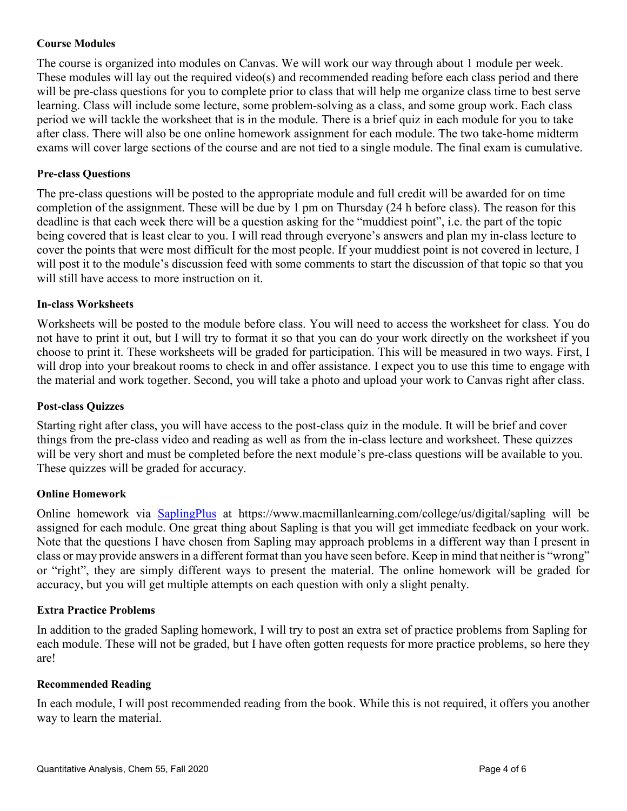## **Course Modules**

The course is organized into modules on Canvas. We will work our way through about 1 module per week. These modules will lay out the required video(s) and recommended reading before each class period and there will be pre-class questions for you to complete prior to class that will help me organize class time to best serve learning. Class will include some lecture, some problem-solving as a class, and some group work. Each class period we will tackle the worksheet that is in the module. There is a brief quiz in each module for you to take after class. There will also be one online homework assignment for each module. The two take-home midterm exams will cover large sections of the course and are not tied to a single module. The final exam is cumulative.

### **Pre-class Questions**

The pre-class questions will be posted to the appropriate module and full credit will be awarded for on time completion of the assignment. These will be due by 1 pm on Thursday (24 h before class). The reason for this deadline is that each week there will be a question asking for the "muddiest point", i.e. the part of the topic being covered that is least clear to you. I will read through everyone's answers and plan my in-class lecture to cover the points that were most difficult for the most people. If your muddiest point is not covered in lecture, I will post it to the module's discussion feed with some comments to start the discussion of that topic so that you will still have access to more instruction on it.

### **In-class Worksheets**

Worksheets will be posted to the module before class. You will need to access the worksheet for class. You do not have to print it out, but I will try to format it so that you can do your work directly on the worksheet if you choose to print it. These worksheets will be graded for participation. This will be measured in two ways. First, I will drop into your breakout rooms to check in and offer assistance. I expect you to use this time to engage with the material and work together. Second, you will take a photo and upload your work to Canvas right after class.

#### **Post-class Quizzes**

Starting right after class, you will have access to the post-class quiz in the module. It will be brief and cover things from the pre-class video and reading as well as from the in-class lecture and worksheet. These quizzes will be very short and must be completed before the next module's pre-class questions will be available to you. These quizzes will be graded for accuracy.

#### **Online Homework**

Online homework via [SaplingP](https://www.macmillanlearning.com/college/us/digital/sapling)lus at https://www.macmillanlearning.com/college/us/digital/sapling will be assigned for each module. One great thing about Sapling is that you will get immediate feedback on your work. Note that the questions I have chosen from Sapling may approach problems in a different way than I present in class or may provide answers in a different format than you have seen before. Keep in mind that neither is "wrong" or "right", they are simply different ways to present the material. The online homework will be graded for accuracy, but you will get multiple attempts on each question with only a slight penalty.

#### **Extra Practice Problems**

In addition to the graded Sapling homework, I will try to post an extra set of practice problems from Sapling for each module. These will not be graded, but I have often gotten requests for more practice problems, so here they are!

#### **Recommended Reading**

In each module, I will post recommended reading from the book. While this is not required, it offers you another way to learn the material.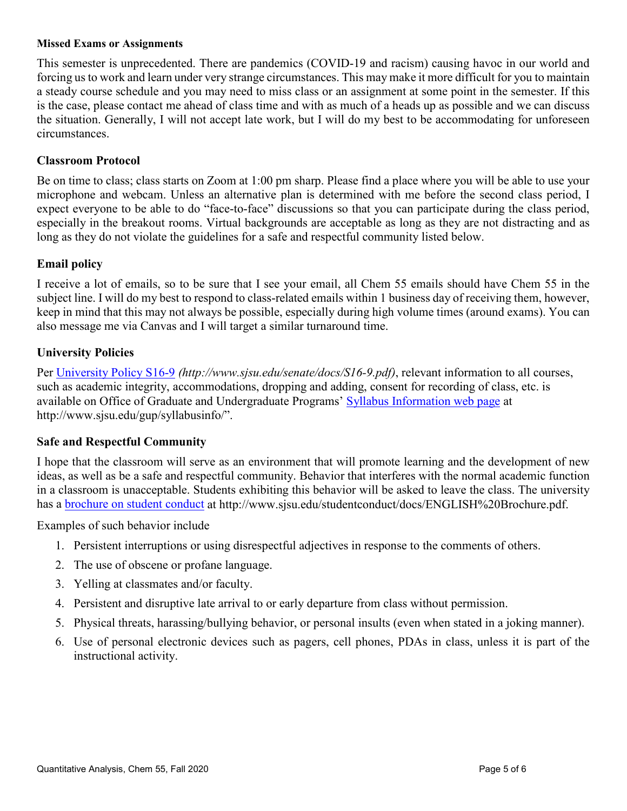#### **Missed Exams or Assignments**

This semester is unprecedented. There are pandemics (COVID-19 and racism) causing havoc in our world and forcing us to work and learn under very strange circumstances. This may make it more difficult for you to maintain a steady course schedule and you may need to miss class or an assignment at some point in the semester. If this is the case, please contact me ahead of class time and with as much of a heads up as possible and we can discuss the situation. Generally, I will not accept late work, but I will do my best to be accommodating for unforeseen circumstances.

# **Classroom Protocol**

Be on time to class; class starts on Zoom at 1:00 pm sharp. Please find a place where you will be able to use your microphone and webcam. Unless an alternative plan is determined with me before the second class period, I expect everyone to be able to do "face-to-face" discussions so that you can participate during the class period, especially in the breakout rooms. Virtual backgrounds are acceptable as long as they are not distracting and as long as they do not violate the guidelines for a safe and respectful community listed below.

## **Email policy**

I receive a lot of emails, so to be sure that I see your email, all Chem 55 emails should have Chem 55 in the subject line. I will do my best to respond to class-related emails within 1 business day of receiving them, however, keep in mind that this may not always be possible, especially during high volume times (around exams). You can also message me via Canvas and I will target a similar turnaround time.

# **University Policies**

Per [University Policy S16-9](http://www.sjsu.edu/senate/docs/S16-9.pdf) *(http://www.sjsu.edu/senate/docs/S16-9.pdf)*, relevant information to all courses, such as academic integrity, accommodations, dropping and adding, consent for recording of class, etc. is available on Office of Graduate and Undergraduate Programs' [Syllabus Information web page](http://www.sjsu.edu/gup/syllabusinfo/) at http://www.sjsu.edu/gup/syllabusinfo/".

## **Safe and Respectful Community**

I hope that the classroom will serve as an environment that will promote learning and the development of new ideas, as well as be a safe and respectful community. Behavior that interferes with the normal academic function in a classroom is unacceptable. Students exhibiting this behavior will be asked to leave the class. The university has a [brochure on student conduct](http://www.sjsu.edu/studentconduct/docs/ENGLISH%20Brochure.pdf) at http://www.sjsu.edu/studentconduct/docs/ENGLISH%20Brochure.pdf.

Examples of such behavior include

- 1. Persistent interruptions or using disrespectful adjectives in response to the comments of others.
- 2. The use of obscene or profane language.
- 3. Yelling at classmates and/or faculty.
- 4. Persistent and disruptive late arrival to or early departure from class without permission.
- 5. Physical threats, harassing/bullying behavior, or personal insults (even when stated in a joking manner).
- 6. Use of personal electronic devices such as pagers, cell phones, PDAs in class, unless it is part of the instructional activity.